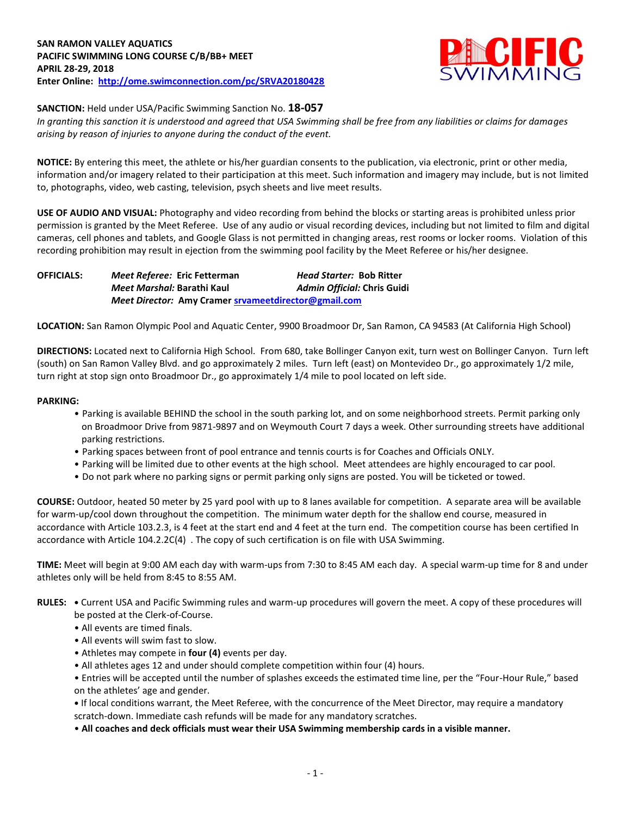

## **SANCTION:** Held under USA/Pacific Swimming Sanction No. **18-057**

*In granting this sanction it is understood and agreed that USA Swimming shall be free from any liabilities or claims for damages arising by reason of injuries to anyone during the conduct of the event.*

**NOTICE:** By entering this meet, the athlete or his/her guardian consents to the publication, via electronic, print or other media, information and/or imagery related to their participation at this meet. Such information and imagery may include, but is not limited to, photographs, video, web casting, television, psych sheets and live meet results.

**USE OF AUDIO AND VISUAL:** Photography and video recording from behind the blocks or starting areas is prohibited unless prior permission is granted by the Meet Referee. Use of any audio or visual recording devices, including but not limited to film and digital cameras, cell phones and tablets, and Google Glass is not permitted in changing areas, rest rooms or locker rooms. Violation of this recording prohibition may result in ejection from the swimming pool facility by the Meet Referee or his/her designee.

**OFFICIALS:** *Meet Referee:* **Eric Fetterman** *Head Starter:* **Bob Ritter** *Meet Marshal:* **Barathi Kaul** *Admin Official:* **Chris Guidi** *Meet Director:* **Amy Cramer [srvameetdirector@gmail.com](mailto:srvameetdirector@gmail.com)**

**LOCATION:** San Ramon Olympic Pool and Aquatic Center, 9900 Broadmoor Dr, San Ramon, CA 94583 (At California High School)

**DIRECTIONS:** Located next to California High School. From 680, take Bollinger Canyon exit, turn west on Bollinger Canyon. Turn left (south) on San Ramon Valley Blvd. and go approximately 2 miles. Turn left (east) on Montevideo Dr., go approximately 1/2 mile, turn right at stop sign onto Broadmoor Dr., go approximately 1/4 mile to pool located on left side.

## **PARKING:**

- Parking is available BEHIND the school in the south parking lot, and on some neighborhood streets. Permit parking only on Broadmoor Drive from 9871-9897 and on Weymouth Court 7 days a week. Other surrounding streets have additional parking restrictions.
- Parking spaces between front of pool entrance and tennis courts is for Coaches and Officials ONLY.
- Parking will be limited due to other events at the high school. Meet attendees are highly encouraged to car pool.
- Do not park where no parking signs or permit parking only signs are posted. You will be ticketed or towed.

**COURSE:** Outdoor, heated 50 meter by 25 yard pool with up to 8 lanes available for competition. A separate area will be available for warm-up/cool down throughout the competition. The minimum water depth for the shallow end course, measured in accordance with Article 103.2.3, is 4 feet at the start end and 4 feet at the turn end. The competition course has been certified In accordance with Article 104.2.2C(4) . The copy of such certification is on file with USA Swimming.

**TIME:** Meet will begin at 9:00 AM each day with warm-ups from 7:30 to 8:45 AM each day. A special warm-up time for 8 and under athletes only will be held from 8:45 to 8:55 AM.

- **RULES: •** Current USA and Pacific Swimming rules and warm-up procedures will govern the meet. A copy of these procedures will be posted at the Clerk-of-Course.
	- All events are timed finals.
	- All events will swim fast to slow.
	- Athletes may compete in **four (4)** events per day.
	- All athletes ages 12 and under should complete competition within four (4) hours.

• Entries will be accepted until the number of splashes exceeds the estimated time line, per the "Four-Hour Rule," based on the athletes' age and gender.

**•** If local conditions warrant, the Meet Referee, with the concurrence of the Meet Director, may require a mandatory scratch-down. Immediate cash refunds will be made for any mandatory scratches.

• **All coaches and deck officials must wear their USA Swimming membership cards in a visible manner.**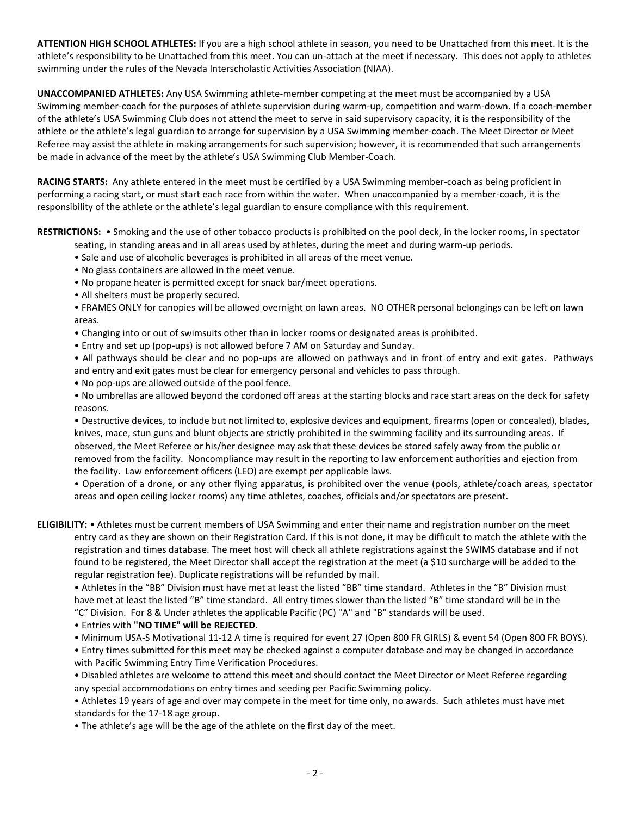**ATTENTION HIGH SCHOOL ATHLETES:** If you are a high school athlete in season, you need to be Unattached from this meet. It is the athlete's responsibility to be Unattached from this meet. You can un-attach at the meet if necessary. This does not apply to athletes swimming under the rules of the Nevada Interscholastic Activities Association (NIAA).

**UNACCOMPANIED ATHLETES:** Any USA Swimming athlete-member competing at the meet must be accompanied by a USA Swimming member-coach for the purposes of athlete supervision during warm-up, competition and warm-down. If a coach-member of the athlete's USA Swimming Club does not attend the meet to serve in said supervisory capacity, it is the responsibility of the athlete or the athlete's legal guardian to arrange for supervision by a USA Swimming member-coach. The Meet Director or Meet Referee may assist the athlete in making arrangements for such supervision; however, it is recommended that such arrangements be made in advance of the meet by the athlete's USA Swimming Club Member-Coach.

**RACING STARTS:** Any athlete entered in the meet must be certified by a USA Swimming member-coach as being proficient in performing a racing start, or must start each race from within the water. When unaccompanied by a member-coach, it is the responsibility of the athlete or the athlete's legal guardian to ensure compliance with this requirement.

**RESTRICTIONS:** • Smoking and the use of other tobacco products is prohibited on the pool deck, in the locker rooms, in spectator seating, in standing areas and in all areas used by athletes, during the meet and during warm-up periods.

- Sale and use of alcoholic beverages is prohibited in all areas of the meet venue.
- No glass containers are allowed in the meet venue.
- No propane heater is permitted except for snack bar/meet operations.
- All shelters must be properly secured.
- FRAMES ONLY for canopies will be allowed overnight on lawn areas. NO OTHER personal belongings can be left on lawn areas.
- Changing into or out of swimsuits other than in locker rooms or designated areas is prohibited.
- Entry and set up (pop-ups) is not allowed before 7 AM on Saturday and Sunday.

• All pathways should be clear and no pop-ups are allowed on pathways and in front of entry and exit gates. Pathways and entry and exit gates must be clear for emergency personal and vehicles to pass through.

• No pop-ups are allowed outside of the pool fence.

• No umbrellas are allowed beyond the cordoned off areas at the starting blocks and race start areas on the deck for safety reasons.

• Destructive devices, to include but not limited to, explosive devices and equipment, firearms (open or concealed), blades, knives, mace, stun guns and blunt objects are strictly prohibited in the swimming facility and its surrounding areas. If observed, the Meet Referee or his/her designee may ask that these devices be stored safely away from the public or removed from the facility. Noncompliance may result in the reporting to law enforcement authorities and ejection from the facility. Law enforcement officers (LEO) are exempt per applicable laws.

• Operation of a drone, or any other flying apparatus, is prohibited over the venue (pools, athlete/coach areas, spectator areas and open ceiling locker rooms) any time athletes, coaches, officials and/or spectators are present.

**ELIGIBILITY:** • Athletes must be current members of USA Swimming and enter their name and registration number on the meet entry card as they are shown on their Registration Card. If this is not done, it may be difficult to match the athlete with the registration and times database. The meet host will check all athlete registrations against the SWIMS database and if not found to be registered, the Meet Director shall accept the registration at the meet (a \$10 surcharge will be added to the regular registration fee). Duplicate registrations will be refunded by mail.

• Athletes in the "BB" Division must have met at least the listed "BB" time standard. Athletes in the "B" Division must have met at least the listed "B" time standard. All entry times slower than the listed "B" time standard will be in the "C" Division. For 8 & Under athletes the applicable Pacific (PC) "A" and "B" standards will be used.

• Entries with **"NO TIME" will be REJECTED**.

• Minimum USA-S Motivational 11-12 A time is required for event 27 (Open 800 FR GIRLS) & event 54 (Open 800 FR BOYS).

• Entry times submitted for this meet may be checked against a computer database and may be changed in accordance with Pacific Swimming Entry Time Verification Procedures.

• Disabled athletes are welcome to attend this meet and should contact the Meet Director or Meet Referee regarding any special accommodations on entry times and seeding per Pacific Swimming policy.

• Athletes 19 years of age and over may compete in the meet for time only, no awards. Such athletes must have met standards for the 17-18 age group.

• The athlete's age will be the age of the athlete on the first day of the meet.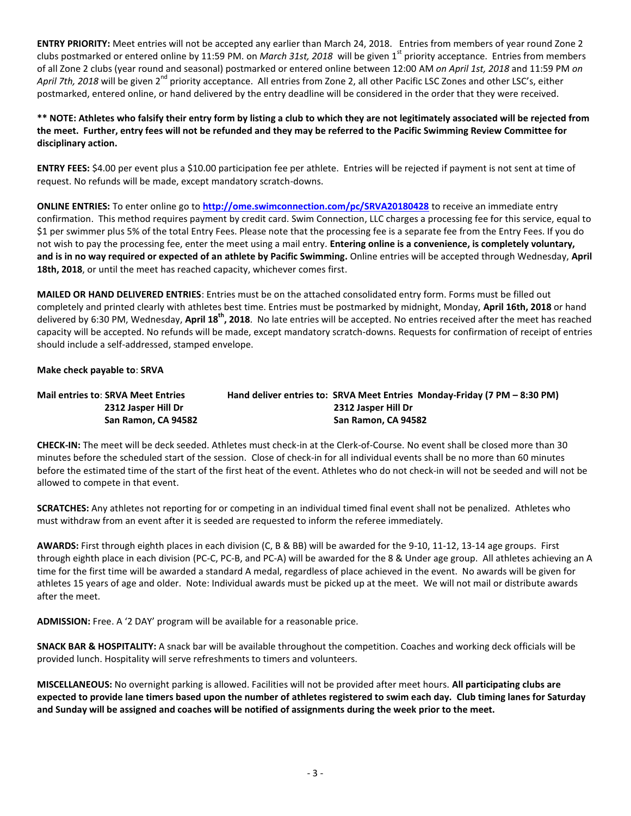**ENTRY PRIORITY:** Meet entries will not be accepted any earlier than March 24, 2018.Entries from members of year round Zone 2 clubs postmarked or entered online by 11:59 PM. on *March 31st, 2018* will be given 1<sup>st</sup> priority acceptance. Entries from members of all Zone 2 clubs (year round and seasonal) postmarked or entered online between 12:00 AM *on April 1st, 2018* and 11:59 PM *on*  April 7th, 2018 will be given 2<sup>nd</sup> priority acceptance. All entries from Zone 2, all other Pacific LSC Zones and other LSC's, either postmarked, entered online, or hand delivered by the entry deadline will be considered in the order that they were received.

**\*\* NOTE: Athletes who falsify their entry form by listing a club to which they are not legitimately associated will be rejected from the meet. Further, entry fees will not be refunded and they may be referred to the Pacific Swimming Review Committee for disciplinary action.**

**ENTRY FEES:** \$4.00 per event plus a \$10.00 participation fee per athlete. Entries will be rejected if payment is not sent at time of request. No refunds will be made, except mandatory scratch-downs.

**ONLINE ENTRIES:** To enter online go to **<http://ome.swimconnection.com/pc/SRVA20180428>** to receive an immediate entry confirmation. This method requires payment by credit card. Swim Connection, LLC charges a processing fee for this service, equal to \$1 per swimmer plus 5% of the total Entry Fees. Please note that the processing fee is a separate fee from the Entry Fees. If you do not wish to pay the processing fee, enter the meet using a mail entry. **Entering online is a convenience, is completely voluntary, and is in no way required or expected of an athlete by Pacific Swimming.** Online entries will be accepted through Wednesday, **April 18th, 2018**, or until the meet has reached capacity, whichever comes first.

**MAILED OR HAND DELIVERED ENTRIES**: Entries must be on the attached consolidated entry form. Forms must be filled out completely and printed clearly with athletes best time. Entries must be postmarked by midnight, Monday, **April 16th, 2018** or hand delivered by 6:30 PM, Wednesday, **April 18th, 2018**. No late entries will be accepted. No entries received after the meet has reached capacity will be accepted. No refunds will be made, except mandatory scratch-downs. Requests for confirmation of receipt of entries should include a self-addressed, stamped envelope.

**Make check payable to**: **SRVA**

| <b>Mail entries to: SRVA Meet Entries</b> | Hand deliver entries to: SRVA Meet Entries Monday-Friday (7 PM - 8:30 PM) |
|-------------------------------------------|---------------------------------------------------------------------------|
| 2312 Jasper Hill Dr                       | 2312 Jasper Hill Dr                                                       |
| San Ramon, CA 94582                       | San Ramon, CA 94582                                                       |

**CHECK-IN:** The meet will be deck seeded. Athletes must check-in at the Clerk-of-Course. No event shall be closed more than 30 minutes before the scheduled start of the session. Close of check-in for all individual events shall be no more than 60 minutes before the estimated time of the start of the first heat of the event. Athletes who do not check-in will not be seeded and will not be allowed to compete in that event.

**SCRATCHES:** Any athletes not reporting for or competing in an individual timed final event shall not be penalized. Athletes who must withdraw from an event after it is seeded are requested to inform the referee immediately.

**AWARDS:** First through eighth places in each division (C, B & BB) will be awarded for the 9-10, 11-12, 13-14 age groups. First through eighth place in each division (PC-C, PC-B, and PC-A) will be awarded for the 8 & Under age group. All athletes achieving an A time for the first time will be awarded a standard A medal, regardless of place achieved in the event. No awards will be given for athletes 15 years of age and older. Note: Individual awards must be picked up at the meet. We will not mail or distribute awards after the meet.

**ADMISSION:** Free. A '2 DAY' program will be available for a reasonable price.

**SNACK BAR & HOSPITALITY:** A snack bar will be available throughout the competition. Coaches and working deck officials will be provided lunch. Hospitality will serve refreshments to timers and volunteers.

**MISCELLANEOUS:** No overnight parking is allowed. Facilities will not be provided after meet hours. **All participating clubs are expected to provide lane timers based upon the number of athletes registered to swim each day. Club timing lanes for Saturday and Sunday will be assigned and coaches will be notified of assignments during the week prior to the meet.**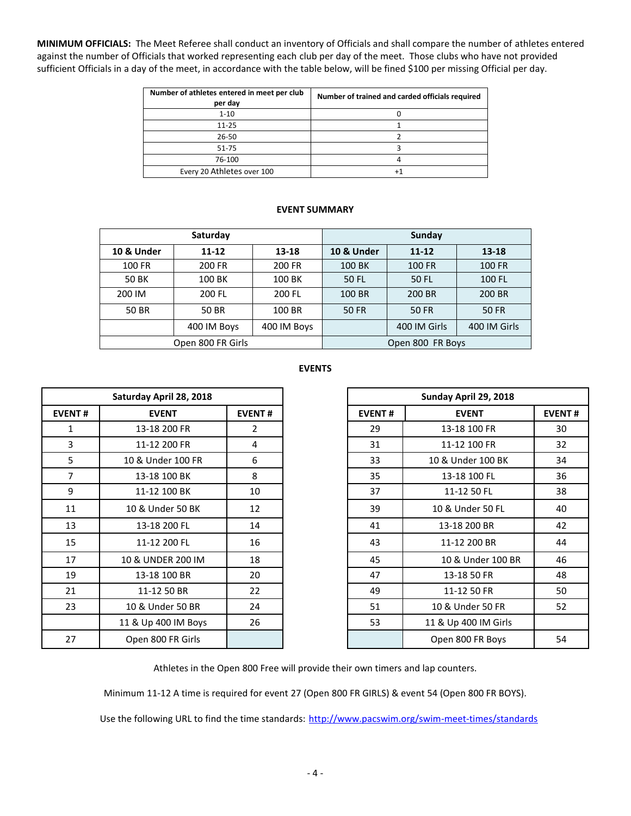**MINIMUM OFFICIALS:** The Meet Referee shall conduct an inventory of Officials and shall compare the number of athletes entered against the number of Officials that worked representing each club per day of the meet. Those clubs who have not provided sufficient Officials in a day of the meet, in accordance with the table below, will be fined \$100 per missing Official per day.

| Number of athletes entered in meet per club<br>per day | Number of trained and carded officials required |
|--------------------------------------------------------|-------------------------------------------------|
| $1 - 10$                                               |                                                 |
| $11 - 25$                                              |                                                 |
| 26-50                                                  |                                                 |
| 51-75                                                  |                                                 |
| 76-100                                                 |                                                 |
| Every 20 Athletes over 100                             |                                                 |

## **EVENT SUMMARY**

|                       | Saturday          |             | <b>Sunday</b>    |               |              |  |  |
|-----------------------|-------------------|-------------|------------------|---------------|--------------|--|--|
| <b>10 &amp; Under</b> | 13-18<br>11-12    |             | 10 & Under       | $11 - 12$     | $13 - 18$    |  |  |
| 100 FR                | 200 FR            | 200 FR      | 100 BK           | <b>100 FR</b> | 100 FR       |  |  |
| <b>50 BK</b>          | 100 BK            | 100 BK      | <b>50 FL</b>     | 50 FL         | 100 FL       |  |  |
| 200 IM                | 200 FL            | 200 FL      | 100 BR           | 200 BR        | 200 BR       |  |  |
| 50 BR                 | 50 BR             | 100 BR      | <b>50 FR</b>     | <b>50 FR</b>  | <b>50 FR</b> |  |  |
|                       | 400 IM Boys       | 400 IM Boys |                  | 400 IM Girls  | 400 IM Girls |  |  |
|                       | Open 800 FR Girls |             | Open 800 FR Boys |               |              |  |  |

## **EVENTS**

|                | Saturday April 28, 2018 |               |               |
|----------------|-------------------------|---------------|---------------|
| <b>EVENT#</b>  | <b>EVENT</b>            | <b>EVENT#</b> | <b>EVENT#</b> |
| $\mathbf{1}$   | 13-18 200 FR            | 2             | 29            |
| 3              | 11-12 200 FR            | 4             | 31            |
| 5              | 10 & Under 100 FR       | 6             | 33            |
| $\overline{7}$ | 13-18 100 BK            | 8             | 35            |
| 9              | 11-12 100 BK            | 10            | 37            |
| 11             | 10 & Under 50 BK        | 12            | 39            |
| 13             | 13-18 200 FL            | 14            | 41            |
| 15             | 11-12 200 FL            | 16            | 43            |
| 17             | 10 & UNDER 200 IM       | 18            | 45            |
| 19             | 13-18 100 BR            | 20            | 47            |
| 21             | 11-12 50 BR             | 22            | 49            |
| 23             | 10 & Under 50 BR        | 24            | 51            |
|                | 11 & Up 400 IM Boys     | 26            | 53            |
| 27             | Open 800 FR Girls       |               |               |

| Saturday April 28, 2018 |                     |                |               | Sunday April 29, 2018 |                      |               |
|-------------------------|---------------------|----------------|---------------|-----------------------|----------------------|---------------|
| <b>EVENT#</b>           | <b>EVENT</b>        | <b>EVENT#</b>  | <b>EVENT#</b> |                       | <b>EVENT</b>         | <b>EVENT#</b> |
| 1                       | 13-18 200 FR        | $\overline{2}$ | 29            |                       | 13-18 100 FR         |               |
| 3                       | 11-12 200 FR        | 4              | 31            |                       | 11-12 100 FR         |               |
| 5                       | 10 & Under 100 FR   | 6              | 33            |                       | 10 & Under 100 BK    |               |
| $\overline{7}$          | 13-18 100 BK        | 8              | 35            |                       | 13-18 100 FL         |               |
| 9                       | 11-12 100 BK        | 10             | 37            |                       | 11-12 50 FL          |               |
| 11                      | 10 & Under 50 BK    | 12             | 39            |                       | 10 & Under 50 FL     |               |
| 13                      | 13-18 200 FL        | 14             | 41            |                       | 13-18 200 BR         |               |
| 15                      | 11-12 200 FL        | 16             | 43            |                       | 11-12 200 BR         |               |
| 17                      | 10 & UNDER 200 IM   | 18             | 45            |                       | 10 & Under 100 BR    |               |
| 19                      | 13-18 100 BR        | 20             | 47            |                       | 13-18 50 FR          |               |
| 21                      | 11-12 50 BR         | 22             | 49            |                       | 11-12 50 FR          |               |
| 23                      | 10 & Under 50 BR    | 24             | 51            |                       | 10 & Under 50 FR     |               |
|                         | 11 & Up 400 IM Boys | 26             | 53            |                       | 11 & Up 400 IM Girls |               |
| 27                      | Open 800 FR Girls   |                |               |                       | Open 800 FR Boys     |               |

Athletes in the Open 800 Free will provide their own timers and lap counters.

Minimum 11-12 A time is required for event 27 (Open 800 FR GIRLS) & event 54 (Open 800 FR BOYS).

Use the following URL to find the time standards: <http://www.pacswim.org/swim-meet-times/standards>